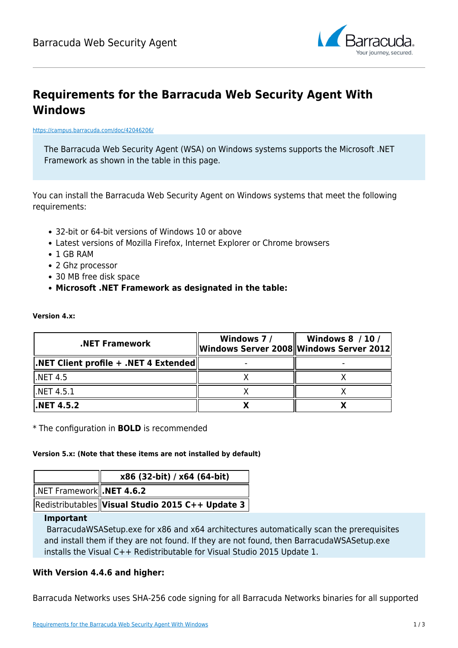

# **Requirements for the Barracuda Web Security Agent With Windows**

#### <https://campus.barracuda.com/doc/42046206/>

The Barracuda Web Security Agent (WSA) on Windows systems supports the Microsoft .NET Framework as shown in the table in this page.

You can install the Barracuda Web Security Agent on Windows systems that meet the following requirements:

- 32-bit or 64-bit versions of Windows 10 or above
- Latest versions of Mozilla Firefox, Internet Explorer or Chrome browsers
- 1 GB RAM

**Version 4.x:**

- 2 Ghz processor
- 30 MB free disk space
- **Microsoft .NET Framework as designated in the table:**

| <b>NET Framework.</b>                                                    | Windows 7/<br>Windows Server 2008 Windows Server 2012 | <b>Windows 8 / 10 /</b> |
|--------------------------------------------------------------------------|-------------------------------------------------------|-------------------------|
| $\mathsf{I}.\mathsf{NET}$ Client profile + .NET 4 Extended $\mathsf{II}$ |                                                       |                         |
| l.NET 4.5                                                                |                                                       |                         |
| l.NET 4.5.1                                                              |                                                       |                         |
| $\mathsf{I}.\mathsf{NET}$ 4.5.2                                          |                                                       |                         |

\* The configuration in **BOLD** is recommended

#### **Version 5.x: (Note that these items are not installed by default)**

|                                                | x86 (32-bit) / x64 (64-bit)                      |
|------------------------------------------------|--------------------------------------------------|
| $\vert$ .NET Framework $\vert\vert$ .NET 4.6.2 |                                                  |
|                                                | Redistributables Visual Studio 2015 C++ Update 3 |

#### **Important**

BarracudaWSASetup.exe for x86 and x64 architectures automatically scan the prerequisites and install them if they are not found. If they are not found, then BarracudaWSASetup.exe installs the Visual C++ Redistributable for Visual Studio 2015 Update 1.

### **With Version 4.4.6 and higher:**

Barracuda Networks uses SHA-256 code signing for all Barracuda Networks binaries for all supported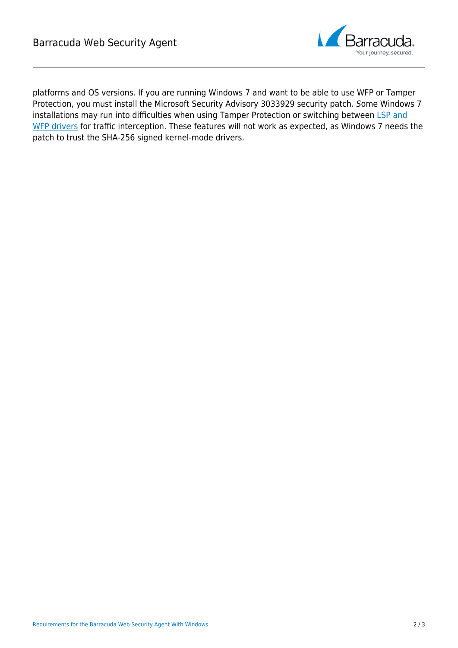

platforms and OS versions. If you are running Windows 7 and want to be able to use WFP or Tamper Protection, you must install the Microsoft Security Advisory 3033929 security patch. Some Windows 7 installations may run into difficulties when using Tamper Protection or switching between [LSP and](http://campus.barracuda.com/doc/66256965/) [WFP drivers](http://campus.barracuda.com/doc/66256965/) for traffic interception. These features will not work as expected, as Windows 7 needs the patch to trust the SHA-256 signed kernel-mode drivers.